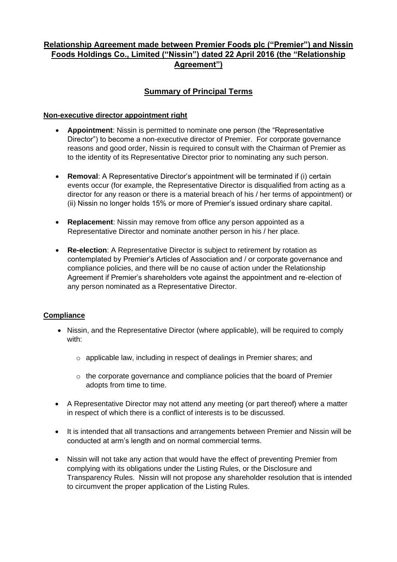# **Relationship Agreement made between Premier Foods plc ("Premier") and Nissin Foods Holdings Co., Limited ("Nissin") dated 22 April 2016 (the "Relationship Agreement")**

# **Summary of Principal Terms**

### **Non-executive director appointment right**

- **Appointment**: Nissin is permitted to nominate one person (the "Representative Director") to become a non-executive director of Premier. For corporate governance reasons and good order, Nissin is required to consult with the Chairman of Premier as to the identity of its Representative Director prior to nominating any such person.
- **Removal**: A Representative Director's appointment will be terminated if (i) certain events occur (for example, the Representative Director is disqualified from acting as a director for any reason or there is a material breach of his / her terms of appointment) or (ii) Nissin no longer holds 15% or more of Premier's issued ordinary share capital.
- **Replacement**: Nissin may remove from office any person appointed as a Representative Director and nominate another person in his / her place.
- **Re-election**: A Representative Director is subject to retirement by rotation as contemplated by Premier's Articles of Association and / or corporate governance and compliance policies, and there will be no cause of action under the Relationship Agreement if Premier's shareholders vote against the appointment and re-election of any person nominated as a Representative Director.

### **Compliance**

- Nissin, and the Representative Director (where applicable), will be required to comply with:
	- o applicable law, including in respect of dealings in Premier shares; and
	- o the corporate governance and compliance policies that the board of Premier adopts from time to time.
- A Representative Director may not attend any meeting (or part thereof) where a matter in respect of which there is a conflict of interests is to be discussed.
- It is intended that all transactions and arrangements between Premier and Nissin will be conducted at arm's length and on normal commercial terms.
- Nissin will not take any action that would have the effect of preventing Premier from complying with its obligations under the Listing Rules, or the Disclosure and Transparency Rules. Nissin will not propose any shareholder resolution that is intended to circumvent the proper application of the Listing Rules.